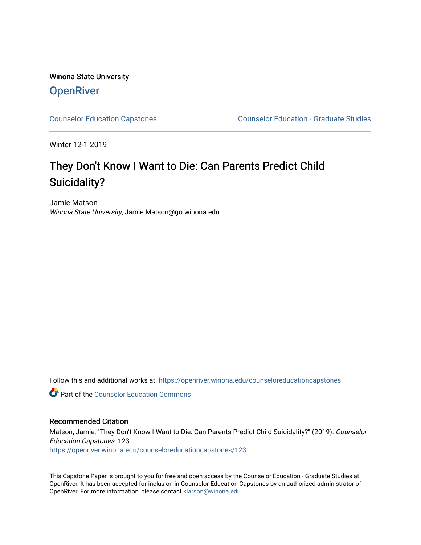## Winona State University **OpenRiver**

[Counselor Education Capstones](https://openriver.winona.edu/counseloreducationcapstones) [Counselor Education - Graduate Studies](https://openriver.winona.edu/counseloreducation) 

Winter 12-1-2019

# They Don't Know I Want to Die: Can Parents Predict Child Suicidality?

Jamie Matson Winona State University, Jamie.Matson@go.winona.edu

Follow this and additional works at: [https://openriver.winona.edu/counseloreducationcapstones](https://openriver.winona.edu/counseloreducationcapstones?utm_source=openriver.winona.edu%2Fcounseloreducationcapstones%2F123&utm_medium=PDF&utm_campaign=PDFCoverPages)

**C** Part of the Counselor Education Commons

#### Recommended Citation

Matson, Jamie, "They Don't Know I Want to Die: Can Parents Predict Child Suicidality?" (2019). Counselor Education Capstones. 123.

[https://openriver.winona.edu/counseloreducationcapstones/123](https://openriver.winona.edu/counseloreducationcapstones/123?utm_source=openriver.winona.edu%2Fcounseloreducationcapstones%2F123&utm_medium=PDF&utm_campaign=PDFCoverPages)

This Capstone Paper is brought to you for free and open access by the Counselor Education - Graduate Studies at OpenRiver. It has been accepted for inclusion in Counselor Education Capstones by an authorized administrator of OpenRiver. For more information, please contact [klarson@winona.edu](mailto:klarson@winona.edu).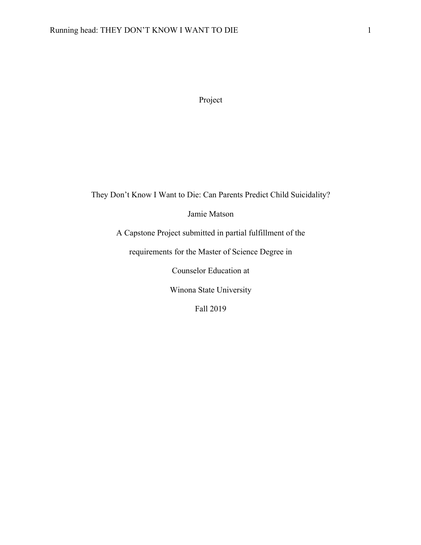Project

They Don't Know I Want to Die: Can Parents Predict Child Suicidality?

Jamie Matson

A Capstone Project submitted in partial fulfillment of the

requirements for the Master of Science Degree in

Counselor Education at

Winona State University

Fall 2019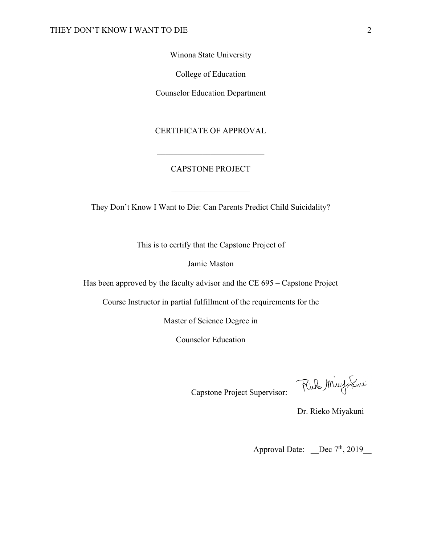Winona State University

College of Education

Counselor Education Department

CERTIFICATE OF APPROVAL

#### CAPSTONE PROJECT

 $\frac{1}{2}$  ,  $\frac{1}{2}$  ,  $\frac{1}{2}$  ,  $\frac{1}{2}$  ,  $\frac{1}{2}$  ,  $\frac{1}{2}$  ,  $\frac{1}{2}$  ,  $\frac{1}{2}$  ,  $\frac{1}{2}$  ,  $\frac{1}{2}$ 

They Don't Know I Want to Die: Can Parents Predict Child Suicidality?

This is to certify that the Capstone Project of

Jamie Maston

Has been approved by the faculty advisor and the CE 695 – Capstone Project

Course Instructor in partial fulfillment of the requirements for the

Master of Science Degree in

Counselor Education

تدريكر بالال الكلايا

Capstone Project Supervisor:

Dr. Rieko Miyakuni

Approval Date:  $\qquad \qquad$  Dec 7<sup>th</sup>, 2019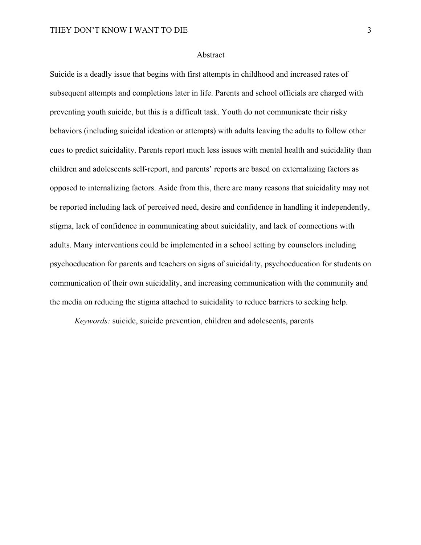#### Abstract

Suicide is a deadly issue that begins with first attempts in childhood and increased rates of subsequent attempts and completions later in life. Parents and school officials are charged with preventing youth suicide, but this is a difficult task. Youth do not communicate their risky behaviors (including suicidal ideation or attempts) with adults leaving the adults to follow other cues to predict suicidality. Parents report much less issues with mental health and suicidality than children and adolescents self-report, and parents' reports are based on externalizing factors as opposed to internalizing factors. Aside from this, there are many reasons that suicidality may not be reported including lack of perceived need, desire and confidence in handling it independently, stigma, lack of confidence in communicating about suicidality, and lack of connections with adults. Many interventions could be implemented in a school setting by counselors including psychoeducation for parents and teachers on signs of suicidality, psychoeducation for students on communication of their own suicidality, and increasing communication with the community and the media on reducing the stigma attached to suicidality to reduce barriers to seeking help.

*Keywords:* suicide, suicide prevention, children and adolescents, parents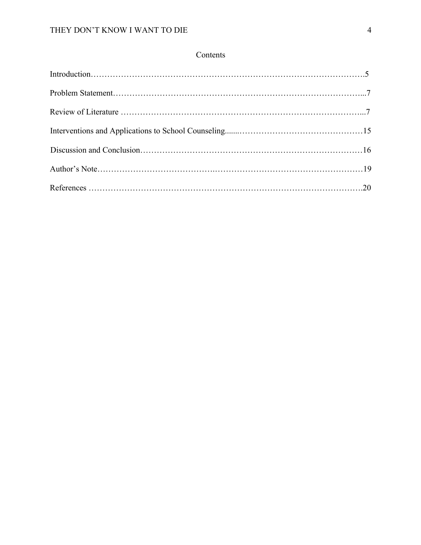### Contents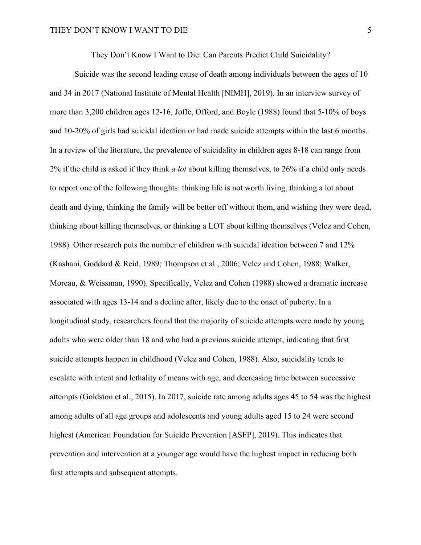They Don't Know I Want to Die: Can Parents Predict Child Suicidality?

Suicide was the second leading cause of death among individuals between the ages of 10 and 34 in 2017 (National Institute of Mental Health [NIMH], 2019). In an interview survey of more than 3,200 children ages 12-16, Joffe, Offord, and Boyle (1988) found that 5-10% of boys and 10-20% of girls had suicidal ideation or had made suicide attempts within the last 6 months. In a review of the literature, the prevalence of suicidality in children ages 8-18 can range from 2% if the child is asked if they think *a lot* about killing themselves, to 26% if a child only needs to report one of the following thoughts: thinking life is not worth living, thinking a lot about death and dying, thinking the family will be better off without them, and wishing they were dead, thinking about killing themselves, or thinking a LOT about killing themselves (Velez and Cohen, 1988). Other research puts the number of children with suicidal ideation between 7 and 12% (Kashani, Goddard & Reid, 1989; Thompson et al., 2006; Velez and Cohen, 1988; Walker, Moreau, & Weissman, 1990). Specifically, Velez and Cohen (1988) showed a dramatic increase associated with ages 13-14 and a decline after, likely due to the onset of puberty. In a longitudinal study, researchers found that the majority of suicide attempts were made by young adults who were older than 18 and who had a previous suicide attempt, indicating that first suicide attempts happen in childhood (Velez and Cohen, 1988). Also, suicidality tends to escalate with intent and lethality of means with age, and decreasing time between successive attempts (Goldston et al., 2015). In 2017, suicide rate among adults ages 45 to 54 was the highest among adults of all age groups and adolescents and young adults aged 15 to 24 were second highest (American Foundation for Suicide Prevention [ASFP], 2019). This indicates that prevention and intervention at a younger age would have the highest impact in reducing both first attempts and subsequent attempts.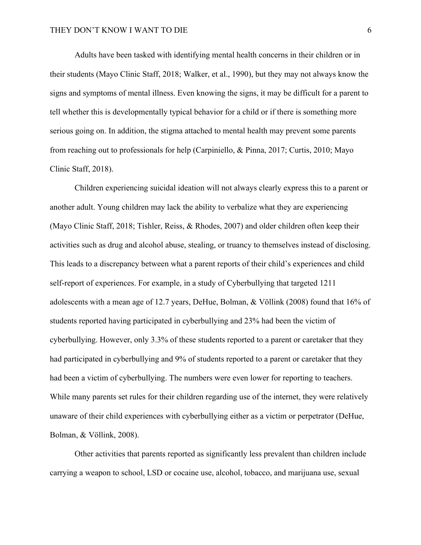Adults have been tasked with identifying mental health concerns in their children or in their students (Mayo Clinic Staff, 2018; Walker, et al., 1990), but they may not always know the signs and symptoms of mental illness. Even knowing the signs, it may be difficult for a parent to tell whether this is developmentally typical behavior for a child or if there is something more serious going on. In addition, the stigma attached to mental health may prevent some parents from reaching out to professionals for help (Carpiniello, & Pinna, 2017; Curtis, 2010; Mayo Clinic Staff, 2018).

Children experiencing suicidal ideation will not always clearly express this to a parent or another adult. Young children may lack the ability to verbalize what they are experiencing (Mayo Clinic Staff, 2018; Tishler, Reiss, & Rhodes, 2007) and older children often keep their activities such as drug and alcohol abuse, stealing, or truancy to themselves instead of disclosing. This leads to a discrepancy between what a parent reports of their child's experiences and child self-report of experiences. For example, in a study of Cyberbullying that targeted 1211 adolescents with a mean age of 12.7 years, DeHue, Bolman, & Völlink (2008) found that 16% of students reported having participated in cyberbullying and 23% had been the victim of cyberbullying. However, only 3.3% of these students reported to a parent or caretaker that they had participated in cyberbullying and 9% of students reported to a parent or caretaker that they had been a victim of cyberbullying. The numbers were even lower for reporting to teachers. While many parents set rules for their children regarding use of the internet, they were relatively unaware of their child experiences with cyberbullying either as a victim or perpetrator (DeHue, Bolman, & Völlink, 2008).

Other activities that parents reported as significantly less prevalent than children include carrying a weapon to school, LSD or cocaine use, alcohol, tobacco, and marijuana use, sexual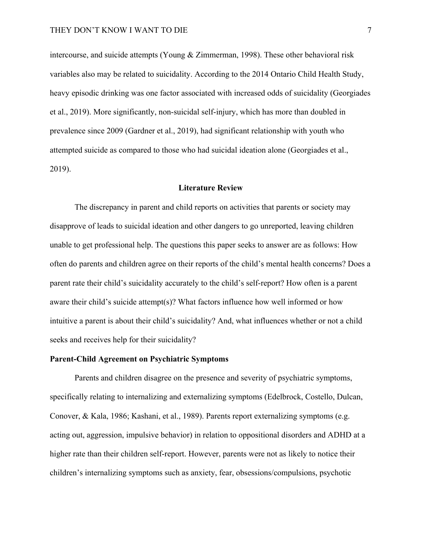intercourse, and suicide attempts (Young & Zimmerman, 1998). These other behavioral risk variables also may be related to suicidality. According to the 2014 Ontario Child Health Study, heavy episodic drinking was one factor associated with increased odds of suicidality (Georgiades et al., 2019). More significantly, non-suicidal self-injury, which has more than doubled in prevalence since 2009 (Gardner et al., 2019), had significant relationship with youth who attempted suicide as compared to those who had suicidal ideation alone (Georgiades et al., 2019).

#### **Literature Review**

The discrepancy in parent and child reports on activities that parents or society may disapprove of leads to suicidal ideation and other dangers to go unreported, leaving children unable to get professional help. The questions this paper seeks to answer are as follows: How often do parents and children agree on their reports of the child's mental health concerns? Does a parent rate their child's suicidality accurately to the child's self-report? How often is a parent aware their child's suicide attempt(s)? What factors influence how well informed or how intuitive a parent is about their child's suicidality? And, what influences whether or not a child seeks and receives help for their suicidality?

#### **Parent-Child Agreement on Psychiatric Symptoms**

Parents and children disagree on the presence and severity of psychiatric symptoms, specifically relating to internalizing and externalizing symptoms (Edelbrock, Costello, Dulcan, Conover, & Kala, 1986; Kashani, et al., 1989). Parents report externalizing symptoms (e.g. acting out, aggression, impulsive behavior) in relation to oppositional disorders and ADHD at a higher rate than their children self-report. However, parents were not as likely to notice their children's internalizing symptoms such as anxiety, fear, obsessions/compulsions, psychotic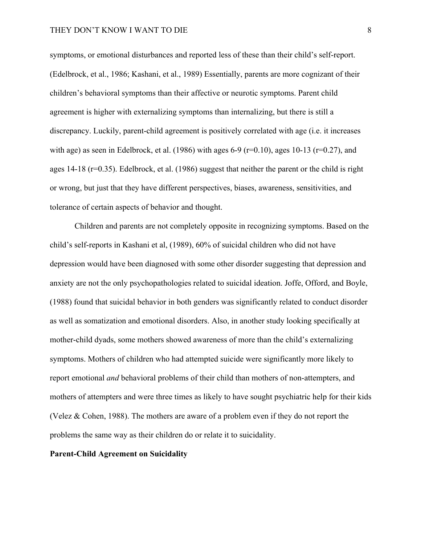symptoms, or emotional disturbances and reported less of these than their child's self-report. (Edelbrock, et al., 1986; Kashani, et al., 1989) Essentially, parents are more cognizant of their children's behavioral symptoms than their affective or neurotic symptoms. Parent child agreement is higher with externalizing symptoms than internalizing, but there is still a discrepancy. Luckily, parent-child agreement is positively correlated with age (i.e. it increases with age) as seen in Edelbrock, et al. (1986) with ages 6-9 ( $r=0.10$ ), ages 10-13 ( $r=0.27$ ), and ages 14-18 (r=0.35). Edelbrock, et al. (1986) suggest that neither the parent or the child is right or wrong, but just that they have different perspectives, biases, awareness, sensitivities, and tolerance of certain aspects of behavior and thought.

Children and parents are not completely opposite in recognizing symptoms. Based on the child's self-reports in Kashani et al, (1989), 60% of suicidal children who did not have depression would have been diagnosed with some other disorder suggesting that depression and anxiety are not the only psychopathologies related to suicidal ideation. Joffe, Offord, and Boyle, (1988) found that suicidal behavior in both genders was significantly related to conduct disorder as well as somatization and emotional disorders. Also, in another study looking specifically at mother-child dyads, some mothers showed awareness of more than the child's externalizing symptoms. Mothers of children who had attempted suicide were significantly more likely to report emotional *and* behavioral problems of their child than mothers of non-attempters, and mothers of attempters and were three times as likely to have sought psychiatric help for their kids (Velez & Cohen, 1988). The mothers are aware of a problem even if they do not report the problems the same way as their children do or relate it to suicidality.

#### **Parent-Child Agreement on Suicidality**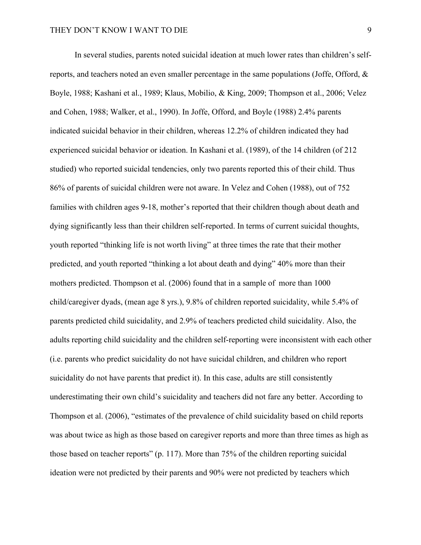In several studies, parents noted suicidal ideation at much lower rates than children's selfreports, and teachers noted an even smaller percentage in the same populations (Joffe, Offord, & Boyle, 1988; Kashani et al., 1989; Klaus, Mobilio, & King, 2009; Thompson et al., 2006; Velez and Cohen, 1988; Walker, et al., 1990). In Joffe, Offord, and Boyle (1988) 2.4% parents indicated suicidal behavior in their children, whereas 12.2% of children indicated they had experienced suicidal behavior or ideation. In Kashani et al. (1989), of the 14 children (of 212 studied) who reported suicidal tendencies, only two parents reported this of their child. Thus 86% of parents of suicidal children were not aware. In Velez and Cohen (1988), out of 752 families with children ages 9-18, mother's reported that their children though about death and dying significantly less than their children self-reported. In terms of current suicidal thoughts, youth reported "thinking life is not worth living" at three times the rate that their mother predicted, and youth reported "thinking a lot about death and dying" 40% more than their mothers predicted. Thompson et al. (2006) found that in a sample of more than 1000 child/caregiver dyads, (mean age 8 yrs.), 9.8% of children reported suicidality, while 5.4% of parents predicted child suicidality, and 2.9% of teachers predicted child suicidality. Also, the adults reporting child suicidality and the children self-reporting were inconsistent with each other (i.e. parents who predict suicidality do not have suicidal children, and children who report suicidality do not have parents that predict it). In this case, adults are still consistently underestimating their own child's suicidality and teachers did not fare any better. According to Thompson et al. (2006), "estimates of the prevalence of child suicidality based on child reports was about twice as high as those based on caregiver reports and more than three times as high as those based on teacher reports" (p. 117). More than 75% of the children reporting suicidal ideation were not predicted by their parents and 90% were not predicted by teachers which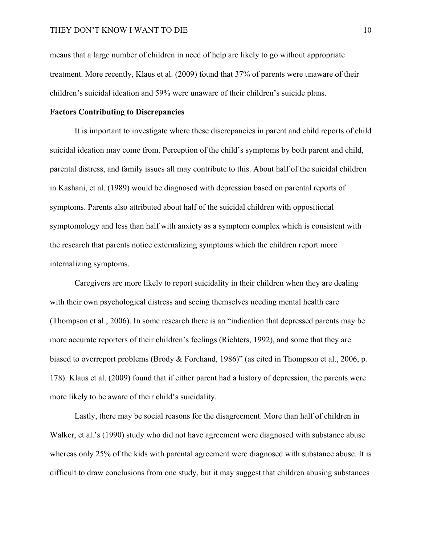means that a large number of children in need of help are likely to go without appropriate treatment. More recently, Klaus et al. (2009) found that 37% of parents were unaware of their children's suicidal ideation and 59% were unaware of their children's suicide plans.

#### **Factors Contributing to Discrepancies**

It is important to investigate where these discrepancies in parent and child reports of child suicidal ideation may come from. Perception of the child's symptoms by both parent and child, parental distress, and family issues all may contribute to this. About half of the suicidal children in Kashani, et al. (1989) would be diagnosed with depression based on parental reports of symptoms. Parents also attributed about half of the suicidal children with oppositional symptomology and less than half with anxiety as a symptom complex which is consistent with the research that parents notice externalizing symptoms which the children report more internalizing symptoms.

Caregivers are more likely to report suicidality in their children when they are dealing with their own psychological distress and seeing themselves needing mental health care (Thompson et al., 2006). In some research there is an "indication that depressed parents may be more accurate reporters of their children's feelings (Richters, 1992), and some that they are biased to overreport problems (Brody & Forehand, 1986)" (as cited in Thompson et al., 2006, p. 178). Klaus et al. (2009) found that if either parent had a history of depression, the parents were more likely to be aware of their child's suicidality.

Lastly, there may be social reasons for the disagreement. More than half of children in Walker, et al.'s (1990) study who did not have agreement were diagnosed with substance abuse whereas only 25% of the kids with parental agreement were diagnosed with substance abuse. It is difficult to draw conclusions from one study, but it may suggest that children abusing substances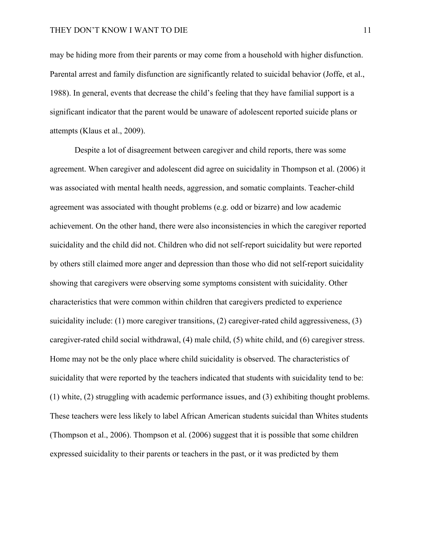may be hiding more from their parents or may come from a household with higher disfunction. Parental arrest and family disfunction are significantly related to suicidal behavior (Joffe, et al., 1988). In general, events that decrease the child's feeling that they have familial support is a significant indicator that the parent would be unaware of adolescent reported suicide plans or attempts (Klaus et al., 2009).

Despite a lot of disagreement between caregiver and child reports, there was some agreement. When caregiver and adolescent did agree on suicidality in Thompson et al. (2006) it was associated with mental health needs, aggression, and somatic complaints. Teacher-child agreement was associated with thought problems (e.g. odd or bizarre) and low academic achievement. On the other hand, there were also inconsistencies in which the caregiver reported suicidality and the child did not. Children who did not self-report suicidality but were reported by others still claimed more anger and depression than those who did not self-report suicidality showing that caregivers were observing some symptoms consistent with suicidality. Other characteristics that were common within children that caregivers predicted to experience suicidality include: (1) more caregiver transitions, (2) caregiver-rated child aggressiveness, (3) caregiver-rated child social withdrawal, (4) male child, (5) white child, and (6) caregiver stress. Home may not be the only place where child suicidality is observed. The characteristics of suicidality that were reported by the teachers indicated that students with suicidality tend to be: (1) white, (2) struggling with academic performance issues, and (3) exhibiting thought problems. These teachers were less likely to label African American students suicidal than Whites students (Thompson et al., 2006). Thompson et al. (2006) suggest that it is possible that some children expressed suicidality to their parents or teachers in the past, or it was predicted by them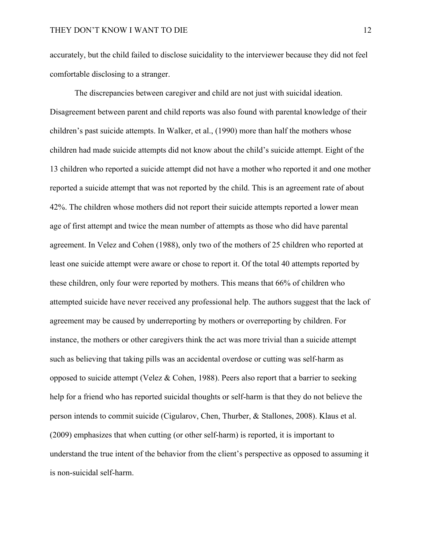accurately, but the child failed to disclose suicidality to the interviewer because they did not feel comfortable disclosing to a stranger.

The discrepancies between caregiver and child are not just with suicidal ideation. Disagreement between parent and child reports was also found with parental knowledge of their children's past suicide attempts. In Walker, et al., (1990) more than half the mothers whose children had made suicide attempts did not know about the child's suicide attempt. Eight of the 13 children who reported a suicide attempt did not have a mother who reported it and one mother reported a suicide attempt that was not reported by the child. This is an agreement rate of about 42%. The children whose mothers did not report their suicide attempts reported a lower mean age of first attempt and twice the mean number of attempts as those who did have parental agreement. In Velez and Cohen (1988), only two of the mothers of 25 children who reported at least one suicide attempt were aware or chose to report it. Of the total 40 attempts reported by these children, only four were reported by mothers. This means that 66% of children who attempted suicide have never received any professional help. The authors suggest that the lack of agreement may be caused by underreporting by mothers or overreporting by children. For instance, the mothers or other caregivers think the act was more trivial than a suicide attempt such as believing that taking pills was an accidental overdose or cutting was self-harm as opposed to suicide attempt (Velez & Cohen, 1988). Peers also report that a barrier to seeking help for a friend who has reported suicidal thoughts or self-harm is that they do not believe the person intends to commit suicide (Cigularov, Chen, Thurber, & Stallones, 2008). Klaus et al. (2009) emphasizes that when cutting (or other self-harm) is reported, it is important to understand the true intent of the behavior from the client's perspective as opposed to assuming it is non-suicidal self-harm.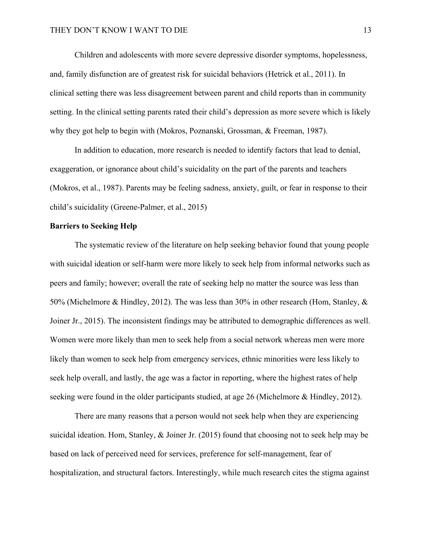Children and adolescents with more severe depressive disorder symptoms, hopelessness, and, family disfunction are of greatest risk for suicidal behaviors (Hetrick et al., 2011). In clinical setting there was less disagreement between parent and child reports than in community setting. In the clinical setting parents rated their child's depression as more severe which is likely why they got help to begin with (Mokros, Poznanski, Grossman, & Freeman, 1987).

In addition to education, more research is needed to identify factors that lead to denial, exaggeration, or ignorance about child's suicidality on the part of the parents and teachers (Mokros, et al., 1987). Parents may be feeling sadness, anxiety, guilt, or fear in response to their child's suicidality (Greene-Palmer, et al., 2015)

#### **Barriers to Seeking Help**

The systematic review of the literature on help seeking behavior found that young people with suicidal ideation or self-harm were more likely to seek help from informal networks such as peers and family; however; overall the rate of seeking help no matter the source was less than 50% (Michelmore & Hindley, 2012). The was less than 30% in other research (Hom, Stanley, & Joiner Jr., 2015). The inconsistent findings may be attributed to demographic differences as well. Women were more likely than men to seek help from a social network whereas men were more likely than women to seek help from emergency services, ethnic minorities were less likely to seek help overall, and lastly, the age was a factor in reporting, where the highest rates of help seeking were found in the older participants studied, at age 26 (Michelmore & Hindley, 2012).

There are many reasons that a person would not seek help when they are experiencing suicidal ideation. Hom, Stanley, & Joiner Jr. (2015) found that choosing not to seek help may be based on lack of perceived need for services, preference for self-management, fear of hospitalization, and structural factors. Interestingly, while much research cites the stigma against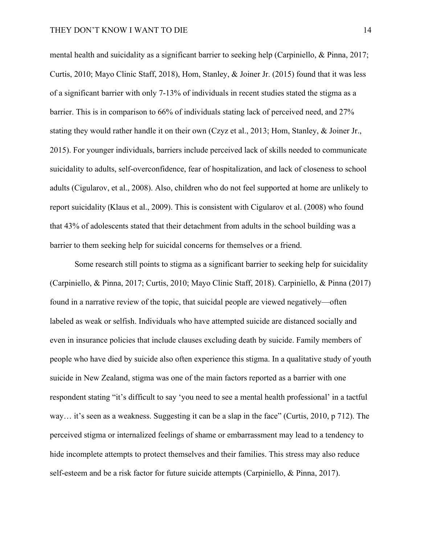mental health and suicidality as a significant barrier to seeking help (Carpiniello, & Pinna, 2017; Curtis, 2010; Mayo Clinic Staff, 2018), Hom, Stanley, & Joiner Jr. (2015) found that it was less of a significant barrier with only 7-13% of individuals in recent studies stated the stigma as a barrier. This is in comparison to 66% of individuals stating lack of perceived need, and 27% stating they would rather handle it on their own (Czyz et al., 2013; Hom, Stanley, & Joiner Jr., 2015). For younger individuals, barriers include perceived lack of skills needed to communicate suicidality to adults, self-overconfidence, fear of hospitalization, and lack of closeness to school adults (Cigularov, et al., 2008). Also, children who do not feel supported at home are unlikely to report suicidality (Klaus et al., 2009). This is consistent with Cigularov et al. (2008) who found that 43% of adolescents stated that their detachment from adults in the school building was a barrier to them seeking help for suicidal concerns for themselves or a friend.

Some research still points to stigma as a significant barrier to seeking help for suicidality (Carpiniello, & Pinna, 2017; Curtis, 2010; Mayo Clinic Staff, 2018). Carpiniello, & Pinna (2017) found in a narrative review of the topic, that suicidal people are viewed negatively—often labeled as weak or selfish. Individuals who have attempted suicide are distanced socially and even in insurance policies that include clauses excluding death by suicide. Family members of people who have died by suicide also often experience this stigma. In a qualitative study of youth suicide in New Zealand, stigma was one of the main factors reported as a barrier with one respondent stating "it's difficult to say 'you need to see a mental health professional' in a tactful way… it's seen as a weakness. Suggesting it can be a slap in the face" (Curtis, 2010, p 712). The perceived stigma or internalized feelings of shame or embarrassment may lead to a tendency to hide incomplete attempts to protect themselves and their families. This stress may also reduce self-esteem and be a risk factor for future suicide attempts (Carpiniello, & Pinna, 2017).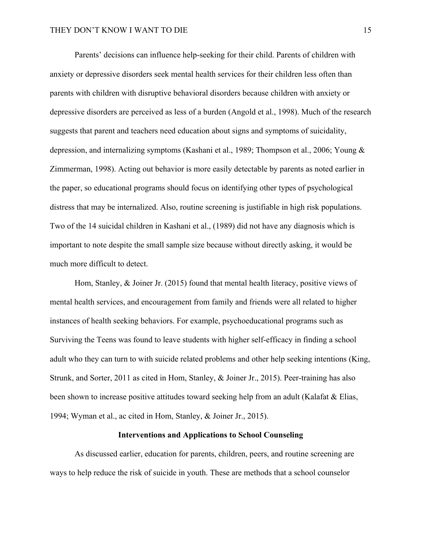Parents' decisions can influence help-seeking for their child. Parents of children with anxiety or depressive disorders seek mental health services for their children less often than parents with children with disruptive behavioral disorders because children with anxiety or depressive disorders are perceived as less of a burden (Angold et al., 1998). Much of the research suggests that parent and teachers need education about signs and symptoms of suicidality, depression, and internalizing symptoms (Kashani et al., 1989; Thompson et al., 2006; Young & Zimmerman, 1998). Acting out behavior is more easily detectable by parents as noted earlier in the paper, so educational programs should focus on identifying other types of psychological distress that may be internalized. Also, routine screening is justifiable in high risk populations. Two of the 14 suicidal children in Kashani et al., (1989) did not have any diagnosis which is important to note despite the small sample size because without directly asking, it would be much more difficult to detect.

Hom, Stanley, & Joiner Jr. (2015) found that mental health literacy, positive views of mental health services, and encouragement from family and friends were all related to higher instances of health seeking behaviors. For example, psychoeducational programs such as Surviving the Teens was found to leave students with higher self-efficacy in finding a school adult who they can turn to with suicide related problems and other help seeking intentions (King, Strunk, and Sorter, 2011 as cited in Hom, Stanley, & Joiner Jr., 2015). Peer-training has also been shown to increase positive attitudes toward seeking help from an adult (Kalafat & Elias, 1994; Wyman et al., ac cited in Hom, Stanley, & Joiner Jr., 2015).

#### **Interventions and Applications to School Counseling**

As discussed earlier, education for parents, children, peers, and routine screening are ways to help reduce the risk of suicide in youth. These are methods that a school counselor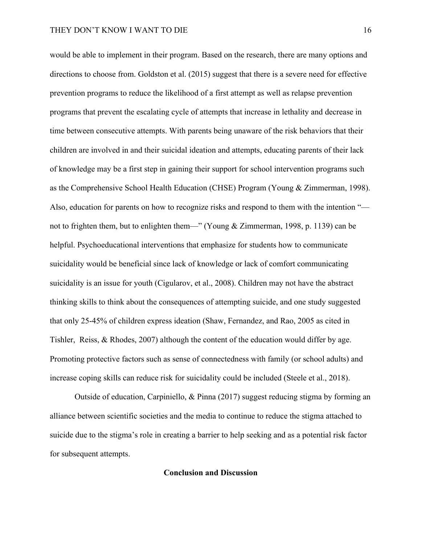would be able to implement in their program. Based on the research, there are many options and directions to choose from. Goldston et al. (2015) suggest that there is a severe need for effective prevention programs to reduce the likelihood of a first attempt as well as relapse prevention programs that prevent the escalating cycle of attempts that increase in lethality and decrease in time between consecutive attempts. With parents being unaware of the risk behaviors that their children are involved in and their suicidal ideation and attempts, educating parents of their lack of knowledge may be a first step in gaining their support for school intervention programs such as the Comprehensive School Health Education (CHSE) Program (Young & Zimmerman, 1998). Also, education for parents on how to recognize risks and respond to them with the intention " not to frighten them, but to enlighten them—" (Young & Zimmerman, 1998, p. 1139) can be helpful. Psychoeducational interventions that emphasize for students how to communicate suicidality would be beneficial since lack of knowledge or lack of comfort communicating suicidality is an issue for youth (Cigularov, et al., 2008). Children may not have the abstract thinking skills to think about the consequences of attempting suicide, and one study suggested that only 25-45% of children express ideation (Shaw, Fernandez, and Rao, 2005 as cited in Tishler, Reiss, & Rhodes, 2007) although the content of the education would differ by age. Promoting protective factors such as sense of connectedness with family (or school adults) and increase coping skills can reduce risk for suicidality could be included (Steele et al., 2018).

Outside of education, Carpiniello, & Pinna (2017) suggest reducing stigma by forming an alliance between scientific societies and the media to continue to reduce the stigma attached to suicide due to the stigma's role in creating a barrier to help seeking and as a potential risk factor for subsequent attempts.

#### **Conclusion and Discussion**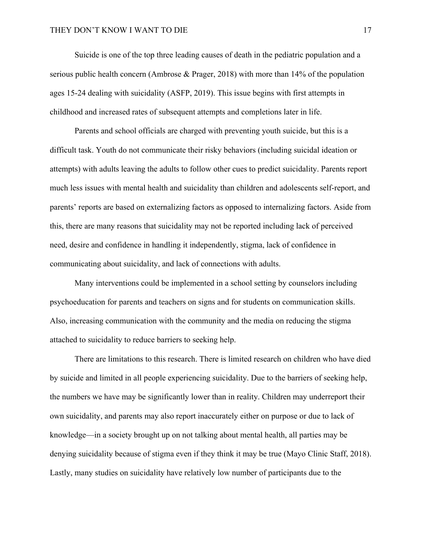Suicide is one of the top three leading causes of death in the pediatric population and a serious public health concern (Ambrose & Prager, 2018) with more than 14% of the population ages 15-24 dealing with suicidality (ASFP, 2019). This issue begins with first attempts in childhood and increased rates of subsequent attempts and completions later in life.

Parents and school officials are charged with preventing youth suicide, but this is a difficult task. Youth do not communicate their risky behaviors (including suicidal ideation or attempts) with adults leaving the adults to follow other cues to predict suicidality. Parents report much less issues with mental health and suicidality than children and adolescents self-report, and parents' reports are based on externalizing factors as opposed to internalizing factors. Aside from this, there are many reasons that suicidality may not be reported including lack of perceived need, desire and confidence in handling it independently, stigma, lack of confidence in communicating about suicidality, and lack of connections with adults.

Many interventions could be implemented in a school setting by counselors including psychoeducation for parents and teachers on signs and for students on communication skills. Also, increasing communication with the community and the media on reducing the stigma attached to suicidality to reduce barriers to seeking help.

There are limitations to this research. There is limited research on children who have died by suicide and limited in all people experiencing suicidality. Due to the barriers of seeking help, the numbers we have may be significantly lower than in reality. Children may underreport their own suicidality, and parents may also report inaccurately either on purpose or due to lack of knowledge—in a society brought up on not talking about mental health, all parties may be denying suicidality because of stigma even if they think it may be true (Mayo Clinic Staff, 2018). Lastly, many studies on suicidality have relatively low number of participants due to the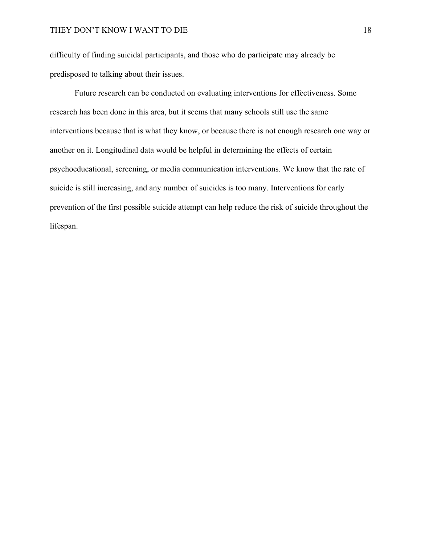difficulty of finding suicidal participants, and those who do participate may already be predisposed to talking about their issues.

Future research can be conducted on evaluating interventions for effectiveness. Some research has been done in this area, but it seems that many schools still use the same interventions because that is what they know, or because there is not enough research one way or another on it. Longitudinal data would be helpful in determining the effects of certain psychoeducational, screening, or media communication interventions. We know that the rate of suicide is still increasing, and any number of suicides is too many. Interventions for early prevention of the first possible suicide attempt can help reduce the risk of suicide throughout the lifespan.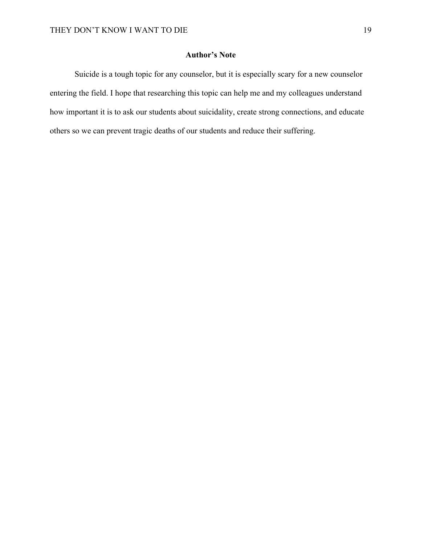#### **Author's Note**

Suicide is a tough topic for any counselor, but it is especially scary for a new counselor entering the field. I hope that researching this topic can help me and my colleagues understand how important it is to ask our students about suicidality, create strong connections, and educate others so we can prevent tragic deaths of our students and reduce their suffering.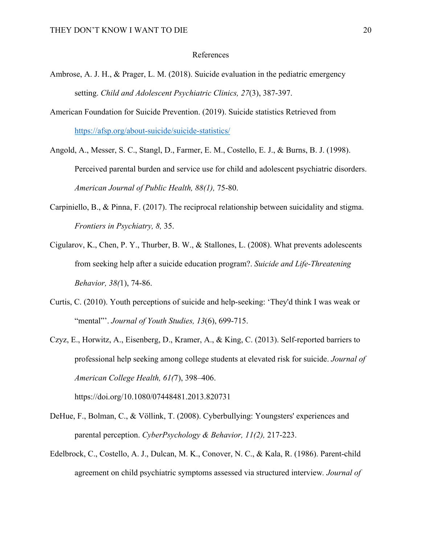#### References

- Ambrose, A. J. H., & Prager, L. M. (2018). Suicide evaluation in the pediatric emergency setting. *Child and Adolescent Psychiatric Clinics, 27*(3), 387-397.
- American Foundation for Suicide Prevention. (2019). Suicide statistics Retrieved from https://afsp.org/about-suicide/suicide-statistics/
- Angold, A., Messer, S. C., Stangl, D., Farmer, E. M., Costello, E. J., & Burns, B. J. (1998). Perceived parental burden and service use for child and adolescent psychiatric disorders. *American Journal of Public Health, 88(1),* 75-80.
- Carpiniello, B., & Pinna, F. (2017). The reciprocal relationship between suicidality and stigma. *Frontiers in Psychiatry, 8,* 35.
- Cigularov, K., Chen, P. Y., Thurber, B. W., & Stallones, L. (2008). What prevents adolescents from seeking help after a suicide education program?. *Suicide and Life-Threatening Behavior, 38(*1), 74-86.
- Curtis, C. (2010). Youth perceptions of suicide and help-seeking: 'They'd think I was weak or "mental"'. *Journal of Youth Studies, 13*(6), 699-715.
- Czyz, E., Horwitz, A., Eisenberg, D., Kramer, A., & King, C. (2013). Self-reported barriers to professional help seeking among college students at elevated risk for suicide. *Journal of American College Health, 61(*7), 398–406.

https://doi.org/10.1080/07448481.2013.820731

- DeHue, F., Bolman, C., & Völlink, T. (2008). Cyberbullying: Youngsters' experiences and parental perception. *CyberPsychology & Behavior, 11(2),* 217-223.
- Edelbrock, C., Costello, A. J., Dulcan, M. K., Conover, N. C., & Kala, R. (1986). Parent-child agreement on child psychiatric symptoms assessed via structured interview*. Journal of*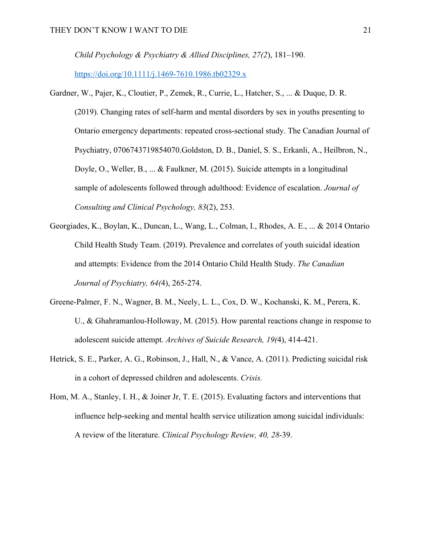*Child Psychology & Psychiatry & Allied Disciplines, 27(2*), 181–190.

https://doi.org/10.1111/j.1469-7610.1986.tb02329.x

- Gardner, W., Pajer, K., Cloutier, P., Zemek, R., Currie, L., Hatcher, S., ... & Duque, D. R. (2019). Changing rates of self-harm and mental disorders by sex in youths presenting to Ontario emergency departments: repeated cross-sectional study. The Canadian Journal of Psychiatry, 0706743719854070.Goldston, D. B., Daniel, S. S., Erkanli, A., Heilbron, N., Doyle, O., Weller, B., ... & Faulkner, M. (2015). Suicide attempts in a longitudinal sample of adolescents followed through adulthood: Evidence of escalation. *Journal of Consulting and Clinical Psychology, 83*(2), 253.
- Georgiades, K., Boylan, K., Duncan, L., Wang, L., Colman, I., Rhodes, A. E., ... & 2014 Ontario Child Health Study Team. (2019). Prevalence and correlates of youth suicidal ideation and attempts: Evidence from the 2014 Ontario Child Health Study. *The Canadian Journal of Psychiatry, 64(*4), 265-274.
- Greene-Palmer, F. N., Wagner, B. M., Neely, L. L., Cox, D. W., Kochanski, K. M., Perera, K. U., & Ghahramanlou-Holloway, M. (2015). How parental reactions change in response to adolescent suicide attempt. *Archives of Suicide Research, 19(*4), 414-421.
- Hetrick, S. E., Parker, A. G., Robinson, J., Hall, N., & Vance, A. (2011). Predicting suicidal risk in a cohort of depressed children and adolescents. *Crisis.*
- Hom, M. A., Stanley, I. H., & Joiner Jr, T. E. (2015). Evaluating factors and interventions that influence help-seeking and mental health service utilization among suicidal individuals: A review of the literature. *Clinical Psychology Review, 40, 28*-39.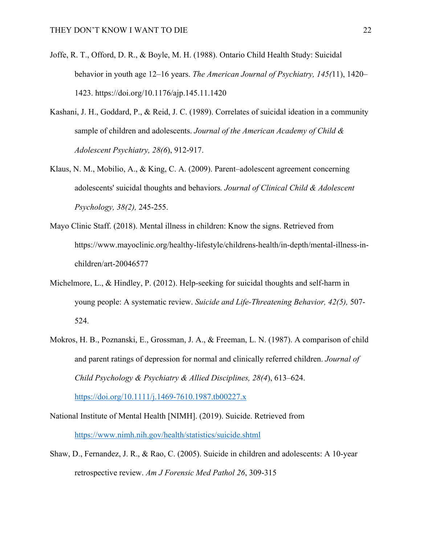- Joffe, R. T., Offord, D. R., & Boyle, M. H. (1988). Ontario Child Health Study: Suicidal behavior in youth age 12–16 years. *The American Journal of Psychiatry, 145(*11), 1420– 1423. https://doi.org/10.1176/ajp.145.11.1420
- Kashani, J. H., Goddard, P., & Reid, J. C. (1989). Correlates of suicidal ideation in a community sample of children and adolescents. *Journal of the American Academy of Child & Adolescent Psychiatry, 28(6*), 912-917.
- Klaus, N. M., Mobilio, A., & King, C. A. (2009). Parent–adolescent agreement concerning adolescents' suicidal thoughts and behaviors*. Journal of Clinical Child & Adolescent Psychology, 38(2),* 245-255.
- Mayo Clinic Staff. (2018). Mental illness in children: Know the signs. Retrieved from https://www.mayoclinic.org/healthy-lifestyle/childrens-health/in-depth/mental-illness-inchildren/art-20046577
- Michelmore, L., & Hindley, P. (2012). Help-seeking for suicidal thoughts and self-harm in young people: A systematic review. *Suicide and Life‐Threatening Behavior, 42(5),* 507- 524.
- Mokros, H. B., Poznanski, E., Grossman, J. A., & Freeman, L. N. (1987). A comparison of child and parent ratings of depression for normal and clinically referred children. *Journal of Child Psychology & Psychiatry & Allied Disciplines, 28(4*), 613–624.

https://doi.org/10.1111/j.1469-7610.1987.tb00227.x

- National Institute of Mental Health [NIMH]. (2019). Suicide. Retrieved from https://www.nimh.nih.gov/health/statistics/suicide.shtml
- Shaw, D., Fernandez, J. R., & Rao, C. (2005). Suicide in children and adolescents: A 10-year retrospective review. *Am J Forensic Med Pathol 26*, 309-315